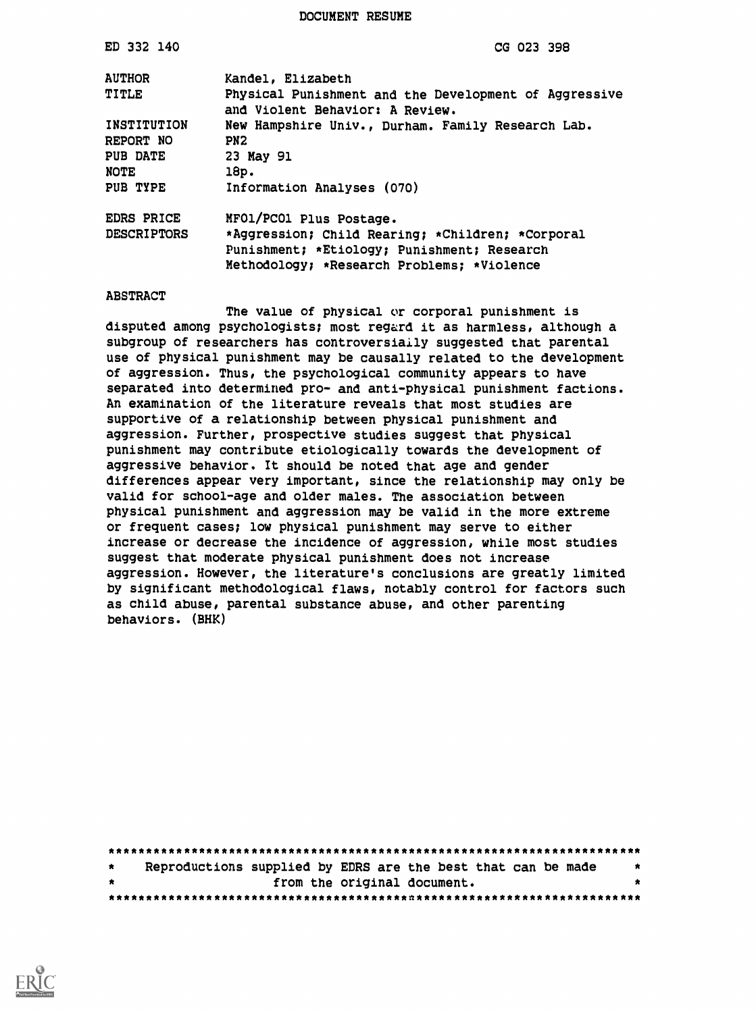DOCUMENT RESUME

| ED 332 140         | CG 023 398                                                                               |
|--------------------|------------------------------------------------------------------------------------------|
| <b>AUTHOR</b>      | Kandel, Elizabeth                                                                        |
| TITLE              | Physical Punishment and the Development of Aggressive<br>and Violent Behavior: A Review. |
| INSTITUTION        | New Hampshire Univ., Durham. Family Research Lab.                                        |
| REPORT NO          | PN <sub>2</sub>                                                                          |
| <b>PUB DATE</b>    | 23 May 91                                                                                |
| <b>NOTE</b>        | 18p.                                                                                     |
| PUB TYPE           | Information Analyses (070)                                                               |
| EDRS PRICE         | MFO1/PCO1 Plus Postage.                                                                  |
| <b>DESCRIPTORS</b> | *Aggression; Child Rearing; *Children; *Corporal                                         |
|                    | Punishment; *Etiology; Punishment; Research                                              |
|                    | Methodology; *Research Problems; *Violence                                               |

#### ABSTRACT

The value of physical or corporal punishment is disputed among psychologists; most regard it as harmless, although a subgroup of researchers has controversiaily suggested that parental use of physical punishment may be causally related to the development of aggression. Thus, the psychological community appears to have separated into determined pro- and anti-physical punishment factions. An examination of the literature reveals that most studies are supportive of a relationship between physical punishment and aggression. Further, prospective studies suggest that physical punishment may contribute etiologically towards the development of aggressive behavior. It should be noted that age and gender differences appear very important, since the relationship may only be valid for school-age and older males. The association between physical punishment and aggression may be valid in the more extreme or frequent cases; low physical punishment may serve to either increase or decrease the incidence of aggression, while most studies suggest that moderate physical punishment does not increase aggression. However, the literature's conclusions are greatly limited by significant methodological flaws, notably control for factors such as child abuse, parental substance abuse, and other parenting behaviors. (BHK)

| $\star$ |  |  |  | Reproductions supplied by EDRS are the best that can be made |  |  |  |
|---------|--|--|--|--------------------------------------------------------------|--|--|--|
| . .     |  |  |  | from the original document.                                  |  |  |  |
|         |  |  |  |                                                              |  |  |  |

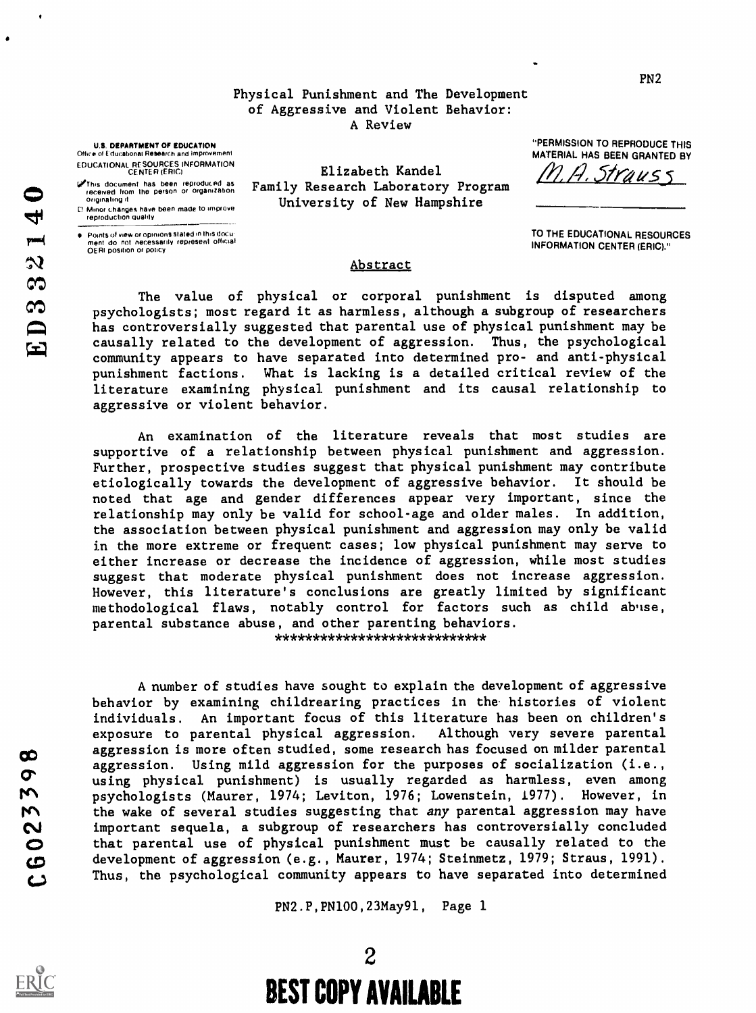### Physical Punishment and The Development of Aggressive and Violent Behavior: A Review

Elizabeth Kandel Family Research Laboratory Program University of New Hampshire

U.S. DEPARTMENT OF EDUCATION Office of Educational Research and Improvement EDUCATIONAL RESOURCES INFORMATION CENTER (ERIC)

@ This document has been reproduced as = Fam<br>- received from the person or organization = Fam<br>- originating it

Minor changes have been made to improve reproduction Quality

 $\bullet$  - Points of view or opinions stated in this docu ment do not necessarily represent official OERI position or policy

"PERMISSION TO REPRODUCE THIS MATERIAL HAS BEEN GRANTED BY

Strauss

TO THE EDUCATIONAL RESOURCES INFORMATION CENTER (ERIC)."

### Abstract

The value of physical or corporal punishment is disputed among psychologists; most regard it as harmless, although a subgroup of researchers has controversially suggested that parental use of physical punishment may be causally related to the development of aggression. Thus, the psychological community appears to have separated into determined pro- and anti-physical punishment factions. What is lacking is a detailed critical review of the literature examining physical punishment and its causal relationship to aggressive or violent behavior.

An examination of the literature reveals that most studies are supportive of a relationship between physical punishment and aggression. Further, prospective studies suggest that physical punishment may contribute etiologically towards the development of aggressive behavior. It should be noted that age and gender differences appear very important, since the relationship may only be valid for school-age and older males. In addition, the association between physical punishment and aggression may only be valid in the more extreme or frequent cases; low physical punishment may serve to either increase or decrease the incidence of aggression, while most studies suggest that moderate physical punishment does not increase aggression. However, this literature's conclusions are greatly limited by significant methodological flaws, notably control for factors such as child abuse, parental substance abuse, and other parenting behaviors. \*\*\*\*\*\*\*\*\*\*\*\*\*\*\*\*\*\*\*\*\*\*\*\*\*\*\*\*

A number of studies have sought to explain the development of aggressive behavior by examining childrearing practices in the histories of violent individuals. An important focus of this literature has been on children's exposure to parental physical aggression. Although very severe parental aggression is more often studied, some research has focused on milder parental aggression. Using mild aggression for the purposes of socialization (i.e., degression. Using mild aggression for the purposes of socialization (i.e.,<br>using physical punishment) is usually regarded as harmless, even among<br>metric psychologists (Maurer, 1974; Leviton, 1976; Lowenstein, 1977). Howeve red psychologists (Maurer, 1974; Leviton, 1976; Lowenstein, 1977). However, in<br>
the wake of several studies suggesting that any parental aggression may have<br>
important sequela, a subgroup of researchers has controversially the wake of several studies suggesting that any parental aggression may have important sequela, a subgroup of researchers has controversially concluded that parental use of physical punishment must be causally related to the development of aggression (e.g., Maurer, 1974; Steinmetz, 1979; Straus, 1991). Thus, the psychological community appears to have separated into determined

PN2.P,PN100,23May91, Page 1

 $\mathbf{E}$ 

 $\bullet$ 

2 BEST COPY AVAILABLE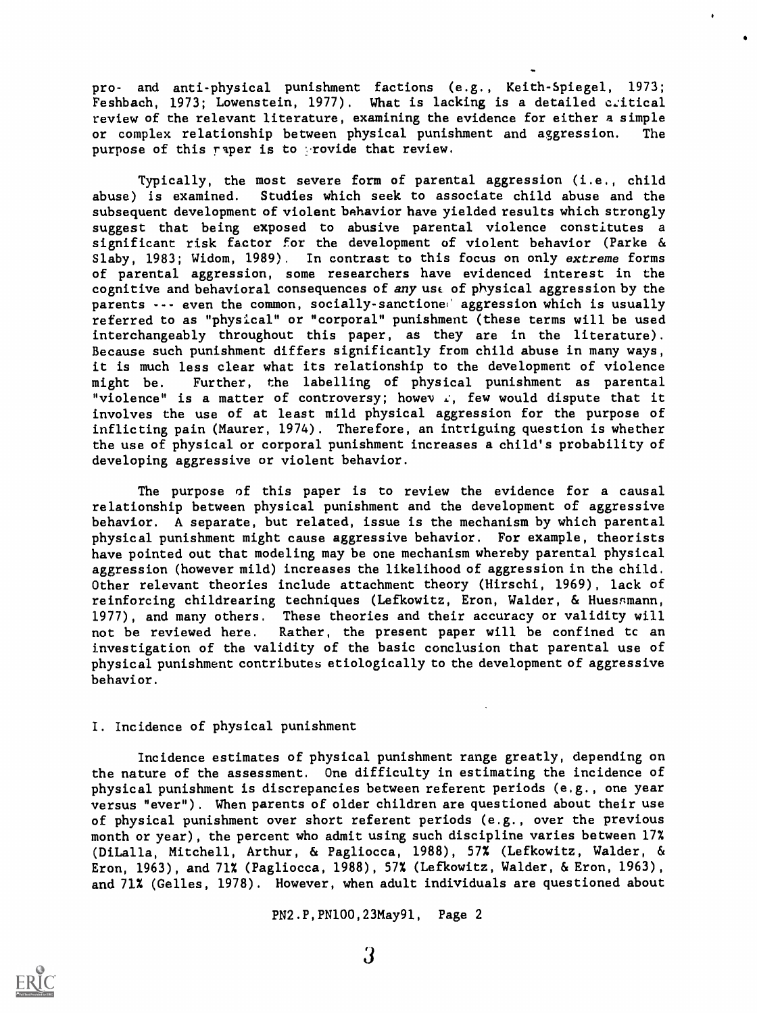pro- and anti-physical punishment factions (e.g., Keith-Spiegel, 1973; Feshbach, 1973; Lowenstein, 1977). What is lacking is a detailed critical review of the relevant literature, examining the evidence for either a simple or complex relationship between physical punishment and aggression. The purpose of this raper is to provide that review.

Typically, the most severe form of parental aggression (i.e., child abuse) is examined. Studies which seek to associate child abuse and the subsequent development of violent bahavior have yielded results which strongly suggest that being exposed to abusive parental violence constitutes a significant risk factor For the development of violent behavior (Parke & Slaby, 1983; Widom, 1989). In contrast to this focus on only extreme forms of parental aggression, some researchers have evidenced interest in the cognitive and behavioral consequences of any ust of physical aggression by the parents --- even the common, socially-sanctioned aggression which is usually referred to as "physical" or "corporal" punishment (these terms will be used interchangeably throughout this paper, as they are in the literature). Because such punishment differs significantly from child abuse in many ways, it is much less clear what its relationship to the development of violence might be. Further, the labelling of physical punishment as parental "violence" is a matter of controversy; howev  $\vec{r}$ , few would dispute that it involves the use of at least mild physical aggression for the purpose of inflicting pain (Maurer, 1974). Therefore, an intriguing question is whether the use of physical or corporal punishment increases a child's probability of developing aggressive or violent behavior.

The purpose of this paper is to review the evidence for a causal relationship between physical punishment and the development of aggressive behavior. A separate, but related, issue is the mechanism by which parental physical punishment might cause aggressive behavior. For example, theorists have pointed out that modeling may be one mechanism whereby parental physical aggression (however mild) increases the likelihood of aggression in the child. Other relevant theories include attachment theory (Hirschi, 1969), lack of reinforcing childrearing techniques (Lefkowitz, Eron, Walder, & Huessmann, 1977), and many others. These theories and their accuracy or validity will not be reviewed here. Rather, the present paper will be confined tc an investigation of the validity of the basic conclusion that parental use of physical punishment contributes etiologically to the development of aggressive behavior.

# I. Incidence of physical punishment

Incidence estimates of physical punishment range greatly, depending on the nature of the assessment. One difficulty in estimating the incidence of physical punishment is discrepancies between referent periods (e.g., one year versus "ever"). When parents of older children are questioned about their use of physical punishment over short referent periods (e.g., over the previous month or year), the percent who admit using such discipline varies between 17% (DiLalla, Mitchell, Arthur, & Pagliocca, 1988), 57% (Lefkowitz, Walder, & Eron, 1963), and 71% (Pagliocca, 1988), 57% (Lefkowitz, Walder, & Eron, 1963), and 71% (Gelles, 1978). However, when adult individuals are questioned about

PN2.P,PN100,23May91, Page 2

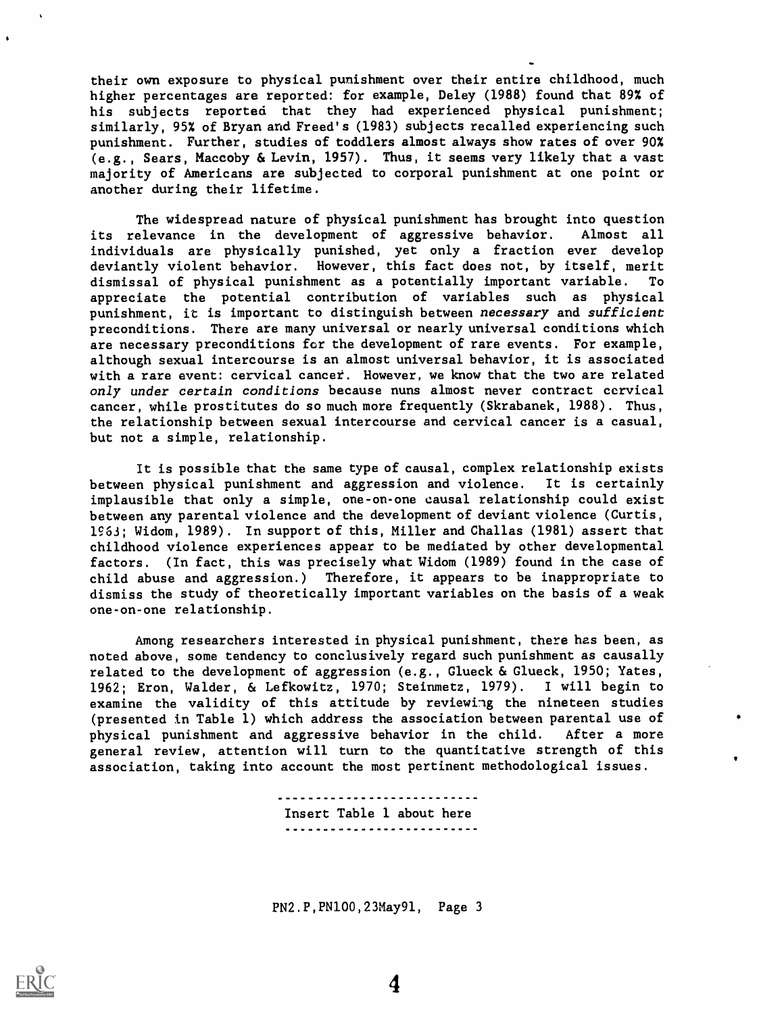their own exposure to physical punishment over their entire childhood, much higher percentages are reported: for example, Deley (1988) found that 89% of his subjects reported that they had experienced physical punishment; similarly, 95% of Bryan and Freed's (1983) subjects recalled experiencing such punishment. Further, studies of toddlers almost always show rates of over 90% (e.g., Sears, Maccoby & Levin, 1957). Thus, it seems very likely that a vast majority of Americans are subjected to corporal punishment at one point or another during their lifetime.

The widespread nature of physical punishment has brought into question its relevance in the development of aggressive behavior. Almost all individuals are physically punished, yet only a fraction ever develop deviantly violent behavior. However, this fact does not, by itself, merit dismissal of physical punishment as a potentially important variable. To appreciate the potential contribution of variables such as physical punishment, it is important to distinguish between necessary and sufficient preconditions. There are many universal or nearly universal conditions which are necessary preconditions for the development of rare events. For example, although sexual intercourse is an almost universal behavior, it is associated with a rare event: cervical cancet. However, we know that the two are related only under certain conditions because nuns almost never contract cervical cancer, while prostitutes do so much more frequently (Skrabanek, 1988). Thus, the relationship between sexual intercourse and cervical cancer is a casual, but not a simple, relationship.

It is possible that the same type of causal, complex relationship exists between physical punishment and aggression and violence. It is certainly implausible that only a simple, one-on-one causal relationship could exist between any parental violence and the development of deviant violence (Curtis, 1963; Widom, 1989). In support of this, Miller and Challas (1981) assert that childhood violence experiences appear to be mediated by other developmental factors. (In fact, this was precisely what Widom (1989) found in the case of child abuse and aggression.) Therefore, it appears to be inappropriate to dismiss the study of theoretically important variables on the basis of a weak one-on-one relationship.

Among researchers interested in physical punishment, there has been, as noted above, some tendency to conclusively regard such punishment as causally related to the development of aggression (e.g., Glueck & Glueck, 1950; Yates, 1962; Eron, Walder, & Lefkowitz, 1970; Steinmetz, 1979). I will begin to examine the validity of this attitude by reviewing the nineteen studies (presented in Table 1) which address the association between parental use of physical punishment and aggressive behavior in the child. After a more general review, attention will turn to the quantitative strength of this association, taking into account the most pertinent methodological issues.

> Insert Table 1 about here

PN2,P,PN100,23May91, Page 3



 $\bullet$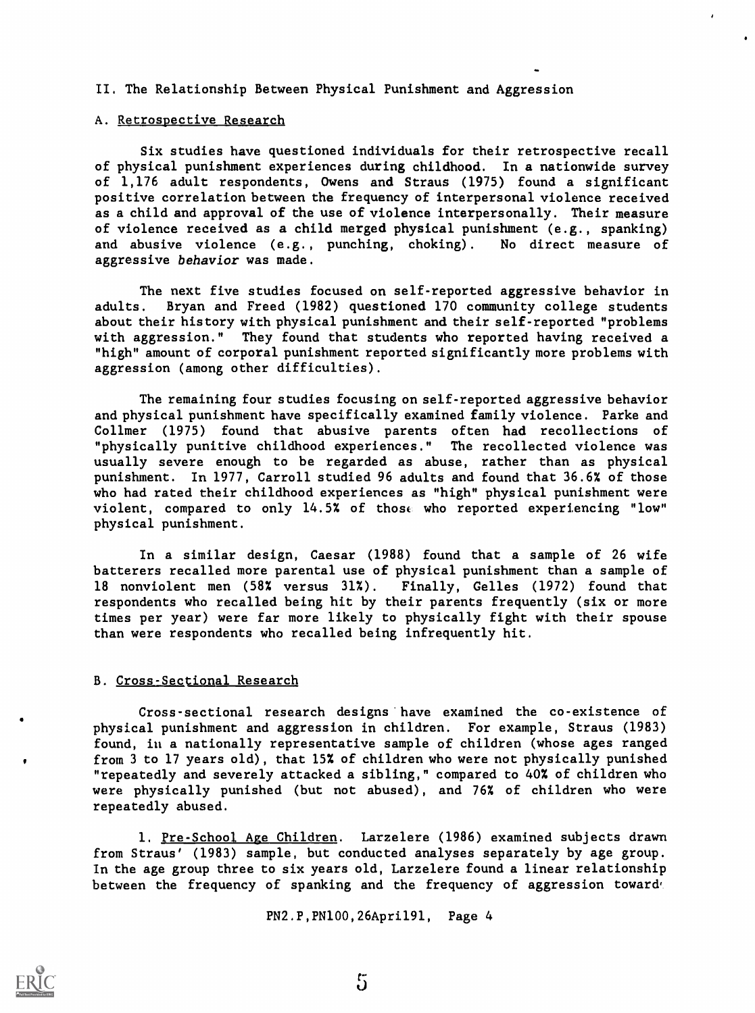### II. The Relationship Between Physical Punishment and Aggression

#### A. Retrospective Research

Six studies have questioned individuals for their retrospective recall of physical punishment experiences during childhood. In a nationwide survey of 1,176 adult respondents, Owens and Straus (1975) found a significant positive correlation between the frequency of interpersonal violence received as a child and approval of the use of violence interpersonally. Their measure of violence received as a child merged physical punishment (e.g., spanking) and abusive violence (e.g., punching, choking). No direct measure of aggressive behavior was made.

The next five studies focused on self-reported aggressive behavior in adults. Bryan and Freed (1982) questioned 170 community college students about their history with physical punishment and their self-reported "problems with aggression." They found that students who reported having received a "high" amount of corporal punishment reported significantly more problems with aggression (among other difficulties).

The remaining four studies focusing on self-reported aggressive behavior and physical punishment have specifically examined family violence. Parke and Collmer (1975) found that abusive parents often had recollections of "physically punitive childhood experiences." The recollected violence was usually severe enough to be regarded as abuse, rather than as physical punishment. In 1977, Carroll studied 96 adults and found that 36.6% of those who had rated their childhood experiences as "high" physical punishment were violent, compared to only 14.5% of those who reported experiencing "low" physical punishment.

In a similar design, Caesar (1988) found that a sample of 26 wife batterers recalled more parental use of physical punishment than a sample of 18 nonviolent men (58% versus 31%). Finally, Gelles (1972) found that respondents who recalled being hit by their parents frequently (six or more times per year) were far more likely to physically fight with their spouse than were respondents who recalled being infrequently hit.

### B. Cross-Sectional Research

Cross-sectional research designs have examined the co-existence of physical punishment and aggression in children. For example, Straus (1983) found, in a nationally representative sample of children (whose ages ranged from 3 to 17 years old), that 15% of children who were not physically punished "repeatedly and severely attacked a sibling," compared to 40% of children who were physically punished (but not abused), and 76% of children who were repeatedly abused.

1. Pre-School Age Children. Larzelere (1986) examined subjects drawn from Straus' (1983) sample, but conducted analyses separately by age group. In the age group three to six years old, Larzelere found a linear relationship between the frequency of spanking and the frequency of aggression toward,

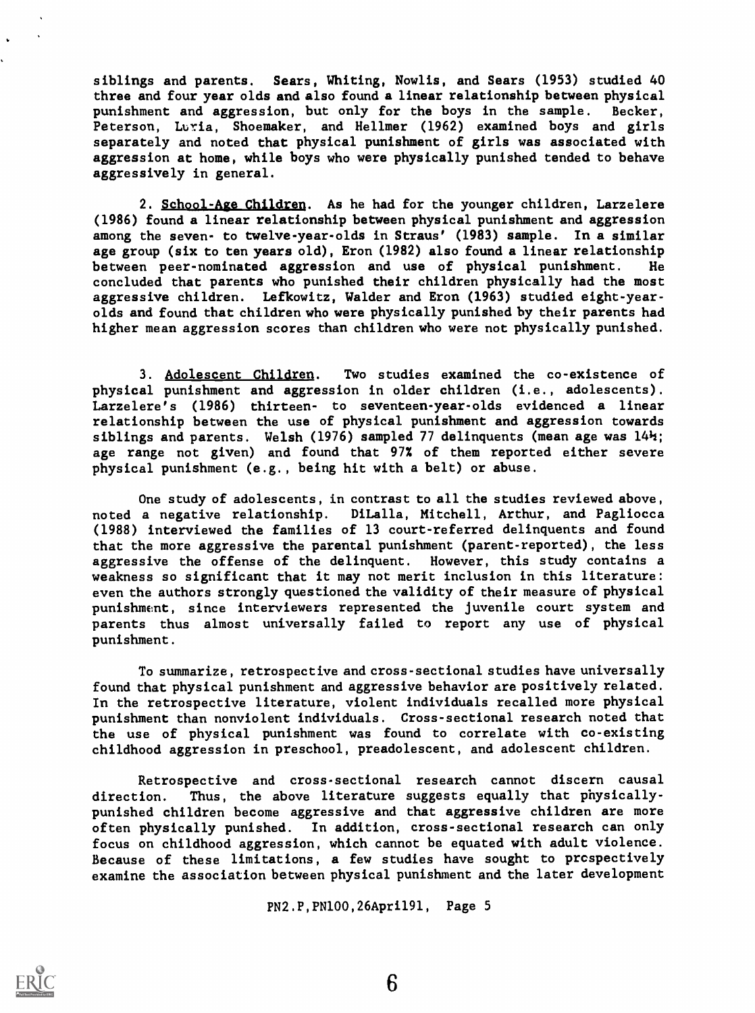siblings and parents. Sears, Whiting, Nowlis, and Sears (1953) studied 40 three and four year olds and also found a linear relationship between physical punishment and aggression, but only for the boys in the sample. Becker, Peterson, Luria, Shoemaker, and Hellmer (1962) examined boys and girls separately and noted that physical punishment of girls was associated with aggression at home, while boys who were physically punished tended to behave aggressively in general.

2. School-Age Children. As he had for the younger children, Larzelere (1986) found a linear relationship between physical punishment and aggression among the seven- to twelve-year-olds in Straus' (1983) sample. In a similar age group (six to ten years old), Eron (1982) also found a linear relationship between peer-nominated aggression and use of physical punishment. He concluded that parents who punished their children physically had the most aggressive children. Lefkowitz, Welder and Eron (1963) studied eight-yearolds and found that children who were physically punished by their parents had higher mean aggression scores than children who were not physically punished.

3. Adolescent Children. Two studies examined the co-existence of physical punishment and aggression in older children (i.e., adolescents). Larzelere's (1986) thirteen- to seventeen-year-olds evidenced a linear relationship between the use of physical punishment and aggression towards siblings and parents. Welsh (1976) sampled 77 delinquents (mean age was 144; age range not given) and found that 97% of them reported either severe physical punishment (e.g., being hit with a belt) or abuse.

One study of adolescents, in contrast to all the studies reviewed above, noted a negative relationship. DiLalla, Mitchell, Arthur, and Pagliocca (1988) interviewed the families of 13 court-referred delinquents and found that the more aggressive the parental punishment (parent-reported), the less aggressive the offense of the delinquent. However, this study contains a weakness so significant that it may not merit inclusion in this literature: even the authors strongly questioned the validity of their measure of physical punishment, since interviewers represented the juvenile court system and parents thus almost universally failed to report any use of physical punishment.

To summarize, retrospective and cross-sectional studies have universally found that physical punishment and aggressive behavior are positively related. In the retrospective literature, violent individuals recalled more physical punishment than nonviolent individuals. Cross-sectional research noted that the use of physical punishment was found to correlate with co-existing childhood aggression in preschool, preadolescent, and adolescent children.

Retrospective and cross-sectional research cannot discern causal direction. Thus, the above literature suggests equally that physicallypunished children become aggressive and that aggressive children are more often physically punished. In addition, cross-sectional research can only focus on childhood aggression, which cannot be equated with adult violence. Because of these limitations, a few studies have sought to prcspectively examine the association between physical punishment and the later development

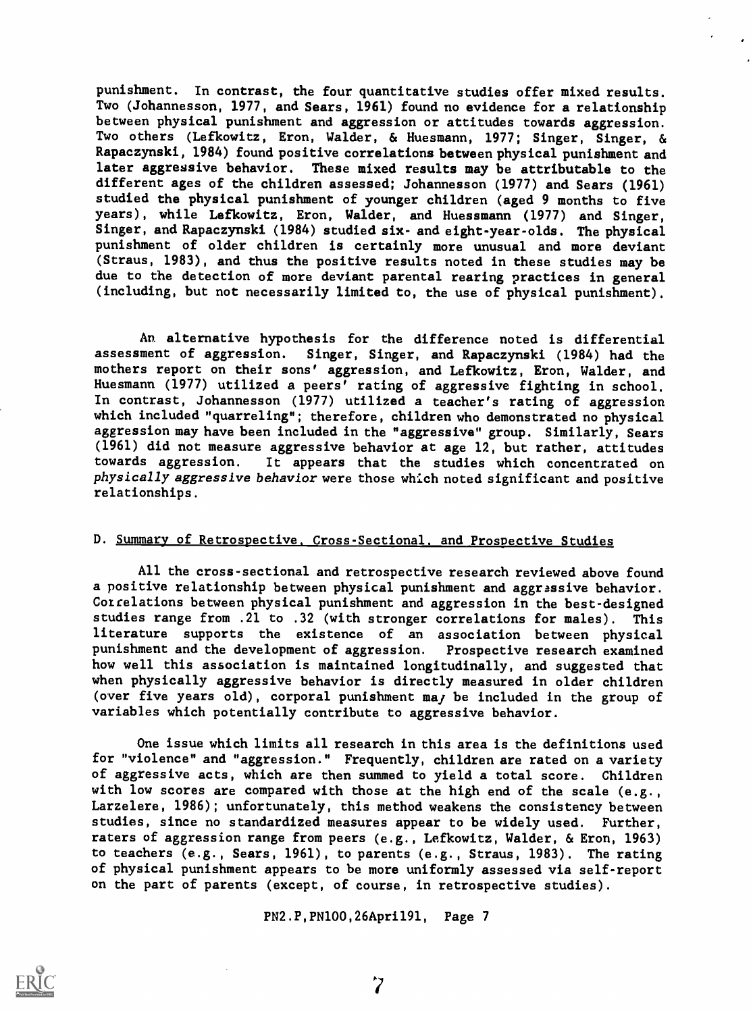punishment. In contrast, the four quantitative studies offer mixed results. Two (Johannesson, 1977, and Sears, 1961) found no evidence for a relationship between physical punishment and aggression or attitudes towards aggression. Two others (Lefkowitz, Eron, Welder, & Huesmann, 1977; Singer, Singer, & Rapaczynski, 1984) found positive correlations between physical punishment and later aggressive behavior. These mixed results may be attributable to the different ages of the children assessed; Johannesson (1977) and Sears (1961) studied the physical punishment of younger children (aged 9 months to five years), while Lefkowitz, Eron, Walder, and Huessmann (1977) and Singer, Singer, and Rapaczynski (1984) studied six- and eight-year-olds. The physical punishment of older children is certainly more unusual and more deviant (Straus, 1983), and thus the positive results noted in these studies may be due to the detection of more deviant parental rearing practices in general (including, but not necessarily limited to, the use of physical punishment).

An alternative hypothesis for the difference noted is differential assessment of aggression. Singer, Singer, and Rapaczynski (1984) had the mothers report on their sons' aggression, and Lefkowitz, Eron, Welder, and Huesmann (1977) utilized a peers' rating of aggressive fighting in school. In contrast, Johannesson (1977) utilized a teacher's rating of aggression which included "quarreling"; therefore, children who demonstrated no physical aggression may have been included in the "aggressive" group. Similarly, Sears (1961) did not measure aggressive behavior at age 12, but rather, attitudes towards aggression. It appears that the studies which concentrated on physically aggressive behavior were those which noted significant and positive relationships.

#### D. Summary of Retrospective, Cross-Sectional, and Prospective Studies

All the cross-sectional and retrospective research reviewed above found a positive relationship between physical punishment and aggressive behavior. Cotrelations between physical punishment and aggression in the best-designed studies range from .21 to .32 (with stronger correlations for males). This literature supports the existence of an association between physical punishment and the development of aggression. Prospective research examined how well this association is maintained longitudinally, and suggested that when physically aggressive behavior is directly measured in older children (over five years old), corporal punishment may be included in the group of variables which potentially contribute to aggressive behavior.

One issue which limits all research in this area is the definitions used for "violence" and "aggression." Frequently, children are rated on a variety of aggressive acts, which are then summed to yield a total score. Children with low scores are compared with those at the high end of the scale (e.g., Larzelere, 1986); unfortunately, this method weakens the consistency between studies, since no standardized measures appear to be widely used. Further, raters of aggression range from peers (e.g., Lefkowitz, Welder, & Eron, 1963) to teachers (e.g., Sears, 1961), to parents (e.g., Straus, 1983). The rating of physical punishment appears to be more uniformly assessed via self-report on the part of parents (except, of course, in retrospective studies).

PN2.P,PN100,26Apri191, Page 7



7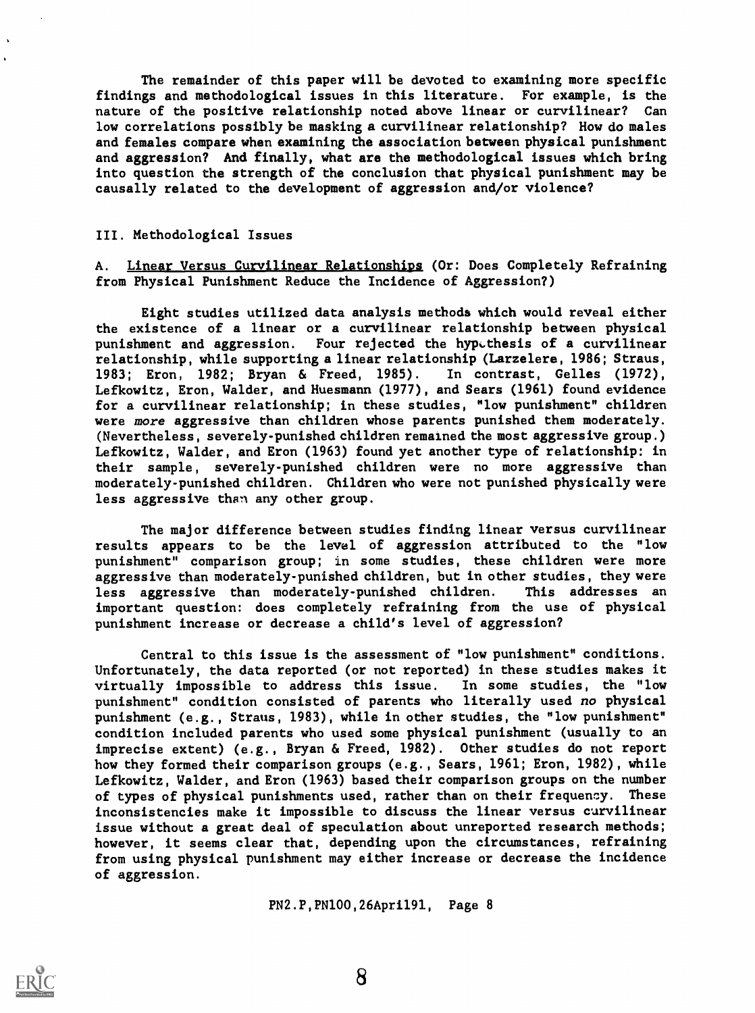The remainder of this paper will be devoted to examining more specific findings and methodological issues in this literature. For example, is the nature of the positive relationship noted above linear or curvilinear? Can low correlations possibly be masking a curvilinear relationship? How do males and females compare when examining the association between physical punishment and aggression? And finally, what are the methodological issues which bring into question the strength of the conclusion that physical punishment may be causally related to the development of aggression and/or violence?

### III. Methodological Issues

A. Linear Versus Curvilinear Relationships (Or: Does Completely Refraining from Physical Punishment Reduce the Incidence of Aggression?)

Eight studies utilized data analysis methods which would reveal either the existence of a linear or a curvilinear relationship between physical punishment and aggression. Four rejected the hypethesis of a curvilinear relationship, while supporting a linear relationship (Larzelere, 1986; Straus, 1983; Eron, 1982; Bryan & Freed, 1985). In contrast, Gelles (1972), Lefkowitz, Eron, Welder, and Huesmann (1977), and Sears (1961) found evidence for a curvilinear relationship; in these studies, "low punishment" children were more aggressive than children whose parents punished them moderately. (Nevertheless, severely-punished children remained the most aggressive group.) Lefkowitz, Welder, and Eron (1963) found yet another type of relationship: in their sample, severely-punished children were no more aggressive than moderately-punished children. Children who were not punished physically were less aggressive than any other group.

The major difference between studies finding linear versus curvilinear results appears to be the level of aggression attributed to the "low punishment" comparison group; in some studies, these children were more aggressive than moderately-punished children, but in other studies, they were less aggressive than moderately-punished children. This addresses an important question: does completely refraining from the use of physical punishment increase or decrease a child's level of aggression?

Central to this issue is the assessment of "low punishment" conditions. Unfortunately, the data reported (or not reported) in these studies makes it virtually impossible to address this issue. In some studies, the "low punishment" condition consisted of parents who literally used no physical punishment (e.g., Straus, 1983), while in other studies, the "low punishment" condition included parents who used some physical punishment (usually to an imprecise extent) (e.g., Bryan & Freed, 1982). Other studies do not report how they formed their comparison groups (e.g., Sears, 1961; Eron, 1982), while Lefkowitz, Welder, and Eron (1963) based their comparison groups on the number of types of physical punishments used, rather than on their frequency. These inconsistencies make it impossible to discuss the linear versus curvilinear issue without a great deal of speculation about unreported research methods; however, it seems clear that, depending upon the circumstances, refraining from using physical punishment may either increase or decrease the incidence of aggression.

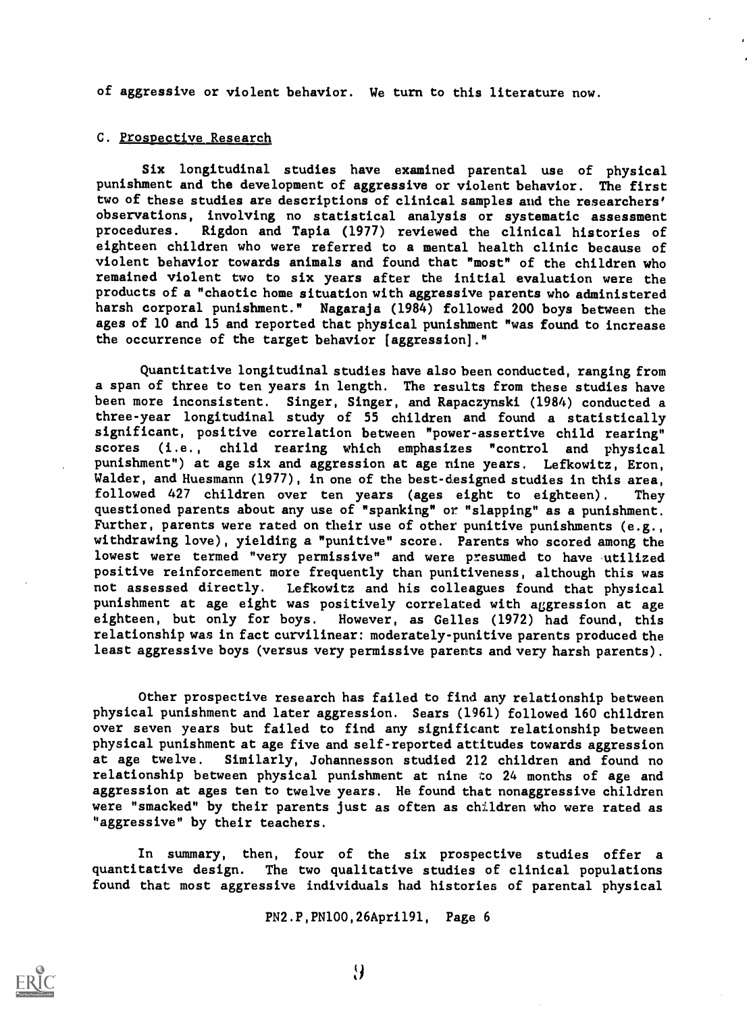of aggressive or violent behavior. We turn to this literature now.

#### C. Prospective Research

Six longitudinal studies have examined parental use of physical punishment and the development of aggressive or violent behavior. The first two of these studies are descriptions of clinical samples and the researchers' observations, involving no statistical analysis or systematic assessment procedures. Rigdon and Tapia (1977) reviewed the clinical histories of eighteen children who were referred to a mental health clinic because of violent behavior towards animals and found that "most" of the children who remained vlolent two to six years after the initial evaluation were the products of a "chaotic home situation with aggressive parents who administered harsh corporal punishment." Nagaraja (1984) followed 200 boys between the ages of 10 and 15 and reported that physical punishment "was found to increase the occurrence of the target behavior [aggression]."

Quantitative longitudinal studies have also been conducted, ranging from a span of three to ten years in length. The results from these studies have been more inconsistent. Singer, Singer, and Rapaczynski (1984) conducted a three-year longitudinal study of 55 children and found a statistically significant, positive correlation between "power-assertive child rearing" scores (i.e., child rearing which emphasizes "control and physical punishment") at age six and aggression at age nine years. Lefkowitz, Eron, Walder, and Huesmann (1977), in one of the best-designed studies in this area. followed 427 children over ten years (ages eight to eighteen). They questioned parents about any use of "spanking" or "slapping" as a punishment. Further, parents were rated on their use of other punitive punishments (e.g., withdrawing love), yielding a "punitive" score. Parents who scored among the lowest were termed "very permissive" and were presumed to have utilized positive reinforcement more frequently than punitiveness, although this was not assessed directly. Lefkowitz and his colleagues found that physical punishment at age eight was positively correlated with aggression at age eighteen, but only for boys. However, as Gelles (1972) had found, this relationship was in fact curvilinear: moderately-punitive parents produced the least aggressive boys (versus very permissive parents and very harsh parents).

Other prospective research has failed to find any relationship between physical punishment and later aggression. Sears (1961) followed 160 children over seven years but failed to find any significant relationship between physical punishment at age five and self-reported attitudes towards aggression at age twelve. Similarly, Johannesson studied 212 children and found no relationship between physical punishment at nine to 24 months of age and aggression at ages ten to twelve years. He found that nonaggressive children were "smacked" by their parents just as often as children who were rated as "aggressive" by their teachers.

In summary, then, four of the six prospective studies offer a quantitative design. The two qualitative studies of clinical populations The two qualitative studies of clinical populations found that most aggressive individuals had histories of parental physical

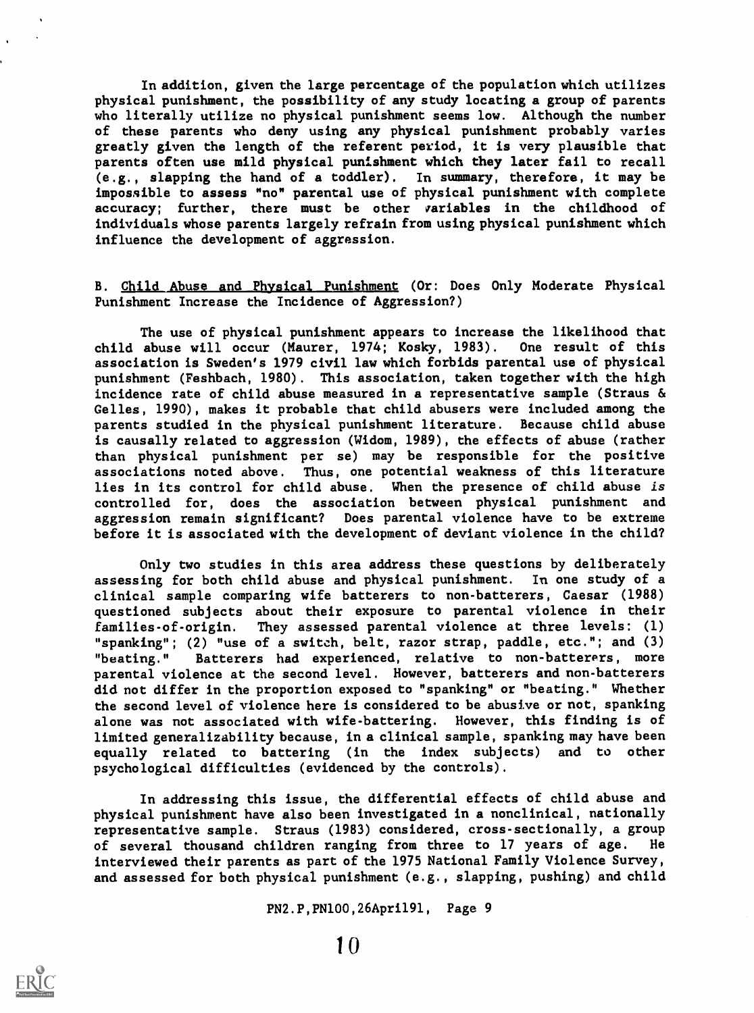In addition, given the large percentage of the population which utilizes physical punishment, the possibility of any study locating a group of parents who literally utilize no physical punishment seems low. Although the number of these parents who deny using any physical punishment probably varies greatly given the length of the referent period, it is very plausible that parents often use mild physical punishment which they later fail to recall (e.g., slapping the hand of a toddler). In summary, therefore, it may be impossible to assess "no" parental use of physical punishment with complete accuracy; further, there must be other variables in the childhood of individuals whose parents largely refrain from using physical punishment which influence the development of aggression.

# B. Child Abuse and Physical Punishment (Or: Does Only Moderate Physical Punishment Increase the Incidence of Aggression?)

The use of physical punishment appears to increase the likelihood that child abuse will occur (Maurer, 1974; Kosky, 1983). One result of this association is Sweden's 1979 civil law which forbids parental use of physical punishment (Feshbach, 1980). This association, taken together with the high incidence rate of child abuse measured in a representative sample (Straus & Gelles, 1990), makes it probable that child abusers were included among the parents studied in the physical punishment literature. Because child abuse is causally related to aggression (Widom, 1989), the effects of abuse (rather than physical punishment per se) may be responsible for the positive associations noted above. Thus, one potential weakness of this literature lies in its control for child abuse. When the presence of child abuse is controlled for, does the association between physical punishment and aggression remain significant? Does parental violence have to be extreme before it is associated with the development of deviant violence in the child?

Only two studies in this area address these questions by deliberately assessing for both child abuse and physical punishment. In one study of a clinical sample comparing wife batterers to non-batterers, Caesar (1988) questioned subjects about their exposure to parental violence in their families-of-origin. They assessed parental violence at three levels: (1) "spanking"; (2) "use of a switch, belt, razor strap, paddle, etc."; and (3) "beating." Batterers had experienced, relative to non-batterers, more parental violence at the second level. However, batterers and non-batterers did not differ in the proportion exposed to "spanking" or "beating." Whether the second level of violence here is considered to be abusive or not, spanking alone was not associated with wife-battering. However, ehis finding is of limited generalizability because, in a clinical sample, spanking may have been equally related to battering (in the index subjects) and to other psychological difficulties (evidenced by the controls).

In addressing this issue, the differential effects of child abuse and physical punishment have also been investigated in a nonclinical, nationally representative sample. Straus (1983) considered, cross-sectionally, a group of several thousand children ranging from three to 17 years of age. He interviewed their parents as part of the 1975 National Family Violence Survey, and assessed for both physical punishment (e.g., slapping, pushing) and child

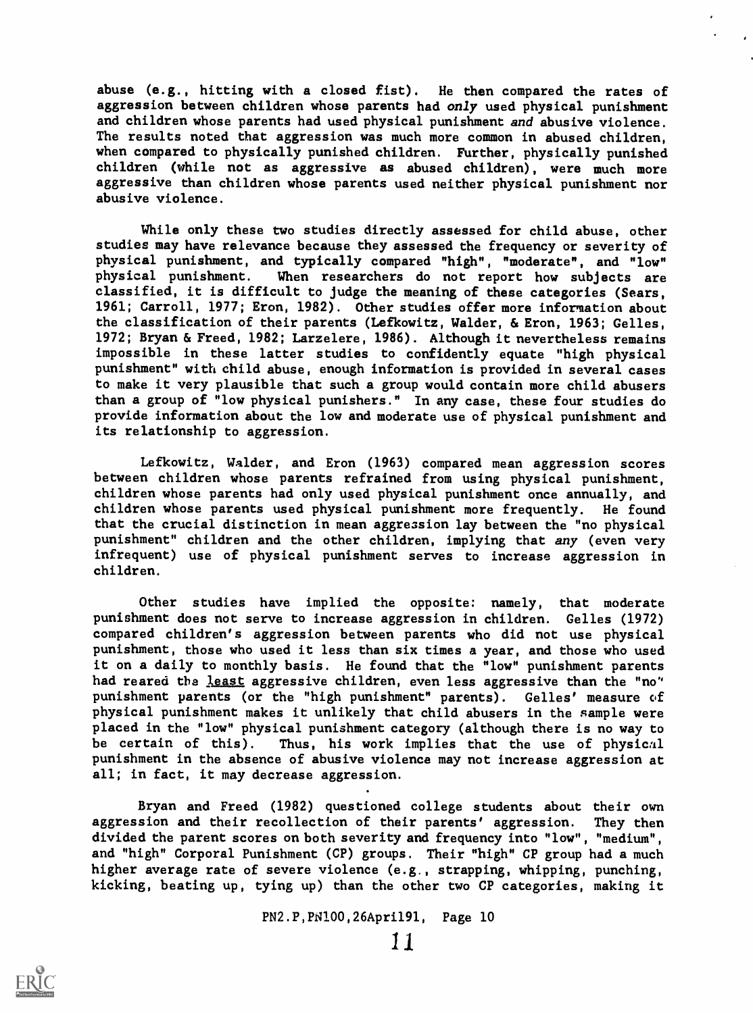abuse (e.g., hitting with a closed fist). He then compared the rates of aggression between children whose parents had only used physical punishment and children whose parents had used physical punishment and abusive violence. The results noted that aggression was much more common in abused children, when compared to physically punished children. Further, physically punished children (while not as aggressive as abused children), were much more aggressive than children whose parents used neither physical punishment nor abusive violence.

While only these two studies directly assessed for child abuse, other studies may have relevance because they assessed the frequency or severity of physical punishment, and typically compared "high", "moderate", and "low" When researchers do not report how subjects are classified, it is difficult to judge the meaning of these categories (Sears, 1961; Carroll, 1977; Eron, 1982). Other studies offer more information about the classification of their parents (Lefkowitz, Walder, & Eron, 1963; Gelles, 1972; Bryan & Freed, 1982; Larzelere, 1986). Although it nevertheless remains impossible in these latter studies to confidently equate "high physical punishment" with child abuse, enough information is provided in several cases to make it very plausible that such a group would contain more child abusers than a group of "low physical punishers." In any case, these four studies do provide information about the low and moderate use of physical punishment and its relationship to aggression.

Lefkowitz, Walder, and Eron (1963) compared mean aggression scores between children whose parents refrained from using physical punishment, children whose parents had only used physical punishment once annually, and children whose parents used physical punishment more frequently. He found that the crucial distinction in mean aggression lay between the "no physical punishment" children and the other children, implying that any (even very infrequent) use of physical punishment serves to increase aggression in children.

Other studies have implied the opposite: namely, that moderate punishment does not serve to increase aggression in children. Gelles (1972) compared children's aggression between parents who did not use physical punishment, those who used it less than six times a year, and those who used it on a daily to monthly basis. He found that the "low" punishment parents had reared the least aggressive children, even less aggressive than the "no" punishment parents (or the "high punishment" parents). Gelles' measure of physical punishment makes it unlikely that child abusers in the sample were placed in the "low" physical punishment category (although there is no way to be certain of this). Thus, his work implies that the use of physical punishment in the absence of abusive violence may not increase aggression at all; in fact, it may decrease aggression.

Bryan and Freed (1982) questioned college students about their own aggression and their recollection of their parents' aggression. They then divided the parent scores on both severity and frequency into "low", "medium", and "high" Corporal Punishment (CP) groups. Their "high" CP group had a much higher average rate of severe violence (e.g., strapping, whipping, punching, kicking, beating up, tying up) than the other two CP categories, making it

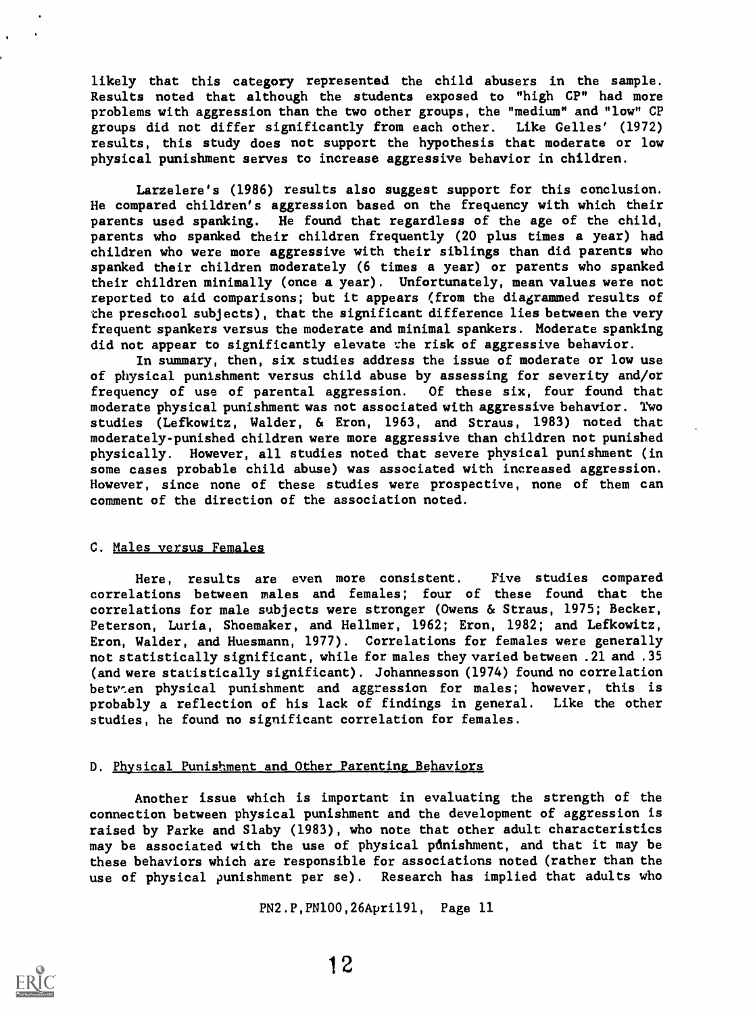likely that this category represented the child abusers in the sample. Results noted that although the students exposed to "high CP" had more problems with aggression than the two other groups, the "medium" and "low" CP groups did not differ significantly from each other. Like Gelles' (1972) results, this study does not support the hypothesis that moderate or low physical punishment serves to increase aggressive behavior in children.

Larzelere's (1986) results also suggest support for this conclusion. He compared children's aggression based on the frequency with which their parents used spanking. He found that regardless of the age of the child, parents who spanked their children frequently (20 plus times a year) had children who were more aggressive with their siblings than did parents who spanked their children moderately (6 times a year) or parents who spanked their children minimally (once a year). Unfortunately, mean values were not reported to aid comparisons; but it appears (from the diagrammed results of the preschool subjects), that the significant difference lies between the very frequent spankers versus the moderate and minimal spankers. Moderate spanking did not appear to significantly elevate the risk of aggressive behavior.

In summary, then, six studies address the issue of moderate or low use of physical punishment versus child abuse by assessing for severity and/or frequency of use of parental aggression. Of these six, four found that moderate physical punishment was not associated with aggressive behavior. Two studies (Lefkowitz, Welder, & Eron, 1963, and Straus, 1983) noted that moderately-punished children were more aggressive than children not punished physically. However, all studies noted that severe physical punishment (in some cases probable child abuse) was associated with increased aggression. However, since none of these studies were prospective, none of them can comment of the direction of the association noted.

# C. Males versus Females

Here, results are even more consistent. Five studies compared correlations between males and females; four of these found that the correlations for male subjects were stronger (Owens & Straus, 1975; Becker, Peterson, Luria, Shoemaker, and Hellmer, 1962; Eron, 1982; and Lefkowitz, Eron, Welder, and Huesmann, 1977). Correlations for females were generally not statistically significant, while for males they varied between .21 and .35 (and were statistically significant). Johannesson (1974) found no correlation betwen physical punishment and aggression for males; however, this is probably a reflection of his lack of findings in general. Like the other studies, he found no significant correlation for females.

# D. Physical Punishment and Other Parenting Behaviors

Another issue which is important in evaluating the strength of the connection between physical punishment and the development of aggression is raised by Parke and Slaby (1983), who note that other adult characteristics may be associated with the use of physical punishment, and that it may be these behaviors which are responsible for associations noted (rather than the use of physical punishment per se), Research has implied that adults who

```
PN2.P,PN100,26Apri191, Page 11
```
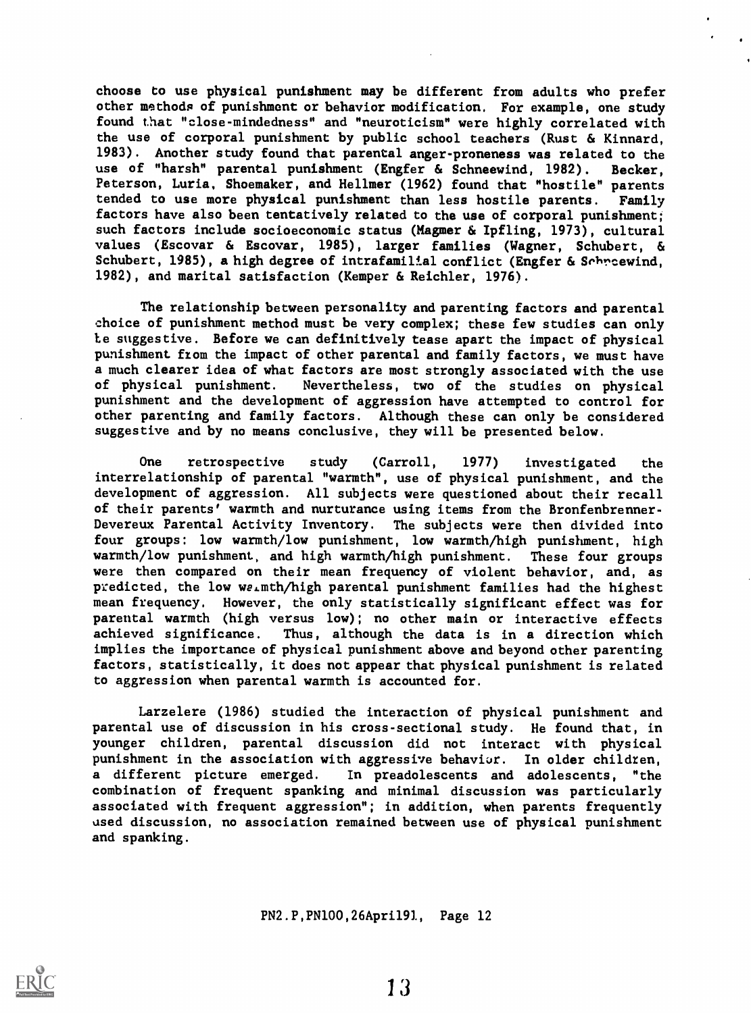choose to use physical punishment may be different from adults who prefer other methods of punishment or behavior modification. For example, one study found that "close-mindedness" and "neuroticism" were highly correlated with the use of corporal punishment by public school teachers (Rust & Kinnard, 1983). Another study found that parental anger-proneness was related to the use of "harsh" parental punishment (Engfer & Schneewind, 1982). Becker, Peterson, Luria, Shoemaker, and Hellmer (1962) found that "hostile" parents tended to use more physical punishment than less hostile parents. Family factors have also been tentatively related to the use of corporal punishment; such factors include socioeconomic status (Hagmer & Ipfling, 1973), cultural values (Escovar & Escovar, 1985), larger families (Wagner, Schubert, & Schubert, 1985), a high degree of intrafamilial conflict (Engfer & Schreewind, 1982), and marital satisfaction (Kemper & Reichler, 1976).

The relationship between personality and parenting factors and parental choice of punishment method must be very complex; these few studies can only Le suggestive. Before we can definitively tease apart the impact of physical punishment from the impact of other parental and family factors, we must have a much clearer idea of what factors are most strongly associated with the use of physical punishment. Nevertheless, two of the studies on physical punishment and the development of aggression have attempted to control for other parenting and family factors. Although these can only be considered suggestive and by no means conclusive, they will be presented below.

One retrospective study (Carroll, 1977) investigated the interrelationship of parental "warmth", use of physical punishment, and the development of aggression. All subjects were questioned about their recall of their parents' warmth and nurturance using items from the Bronfenbrenner-Devereux Parental Activity Inventory. The subjects were then divided into four groups: low warmth/low punishment, low warmth/high punishment, high warmth/low punishment, and high warmth/high punishment. These four groups were then compared on their mean frequency of violent behavior, and, as predicted, the low ws,mth/high parental punishment families had the highest mean frequency. However, the only statistically significant effect was for parental warmth (high versus low); no other main or interactive effects achieved significance. Thus, although the data is in a direction which implies the importance of physical punishment above and beyond other parenting factors, statistically, it does not appear that physical punishment is related to aggression when parental warmth is accounted for.

Larzelere (1986) studied the interaction of physical punishment and parental use of discussion in his cross-sectional study. He found that, in younger children, parental discussion did not interact with physical punishment in the association with aggressive behaviur. In older children, a different picture emerged. In preadolescents and adolescents, "the combination of frequent spanking and minimal discussion was particularly associated with frequent aggression"; in addition, when parents frequently used discussion, no association remained between use of physical punishment and spanking.

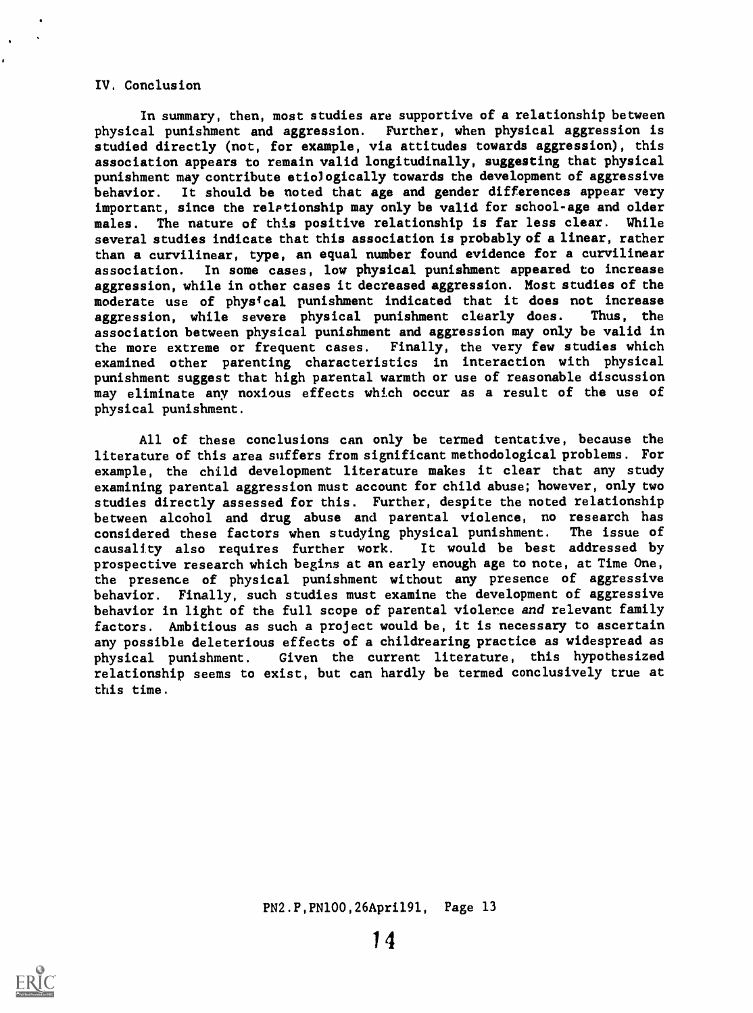### IV. Conclusion

In summary, then, most studies are supportive of a relationship between physical punishment and aggression. Further, when physical aggression is studied directly (not, for example, via attitudes towards aggression), this association appears to remain valid longitudinally, suggesting that physical punishment may contribute etiologically towards the development of aggressive behavior. It should be noted that age and gender differences appear very important, since the relptionship may only be valid for school-age and older males. The nature of this positive relationship is far less clear. While several studies indicate that this association is probably of a linear, rather than a curvilinear, type, an equal number found evidence for a curvilinear association. In some cases, low physical punishment appeared to increase aggression, while in other cases it decreased aggression. Most studies of the moderate use of physical punishment indicated that it does not increase aggression, while severe physical punishment clearly does. Thus, the association between physical punishment and aggression may only be valid in the more extreme or frequent cases. Finally, the very few studies which examined other parenting characteristics in interaction with physical punishment suggest that high parental warmth or use of reasonable discussion may eliminate any noxious effects which occur as a result of the use of physical punishment.

All of these conclusions can only be termed tentative, because the literature of this area suffers from significant methodological problems. For example, the child development literature makes it clear that any study examining parental aggression must account for child abuse; however, only two studies directly assessed for this. Further, despite the noted relationship between alcohol and drug abuse and parental violence, no research has considered these factors when studying physical punishment. The issue of considered these factors when studying physical punishment. The issue of causality also requires further work. It would be best addressed by causality also requires further work. prospective research which begins at an early enough age to note, at Time One, the presence of physical punishment without any presence of aggressive behavior. Finally, such studies must examine the development of aggressive behavior in light of the full scope of parental violence and relevant family factors. Ambitious as such a project would be, it is necessary to ascertain any possible deleterious effects of a childrearing practice as widespread as physical punishment. Given the current literature, this hypothesized relationship seems to exist, but can hardly be termed conclusively true at this time.



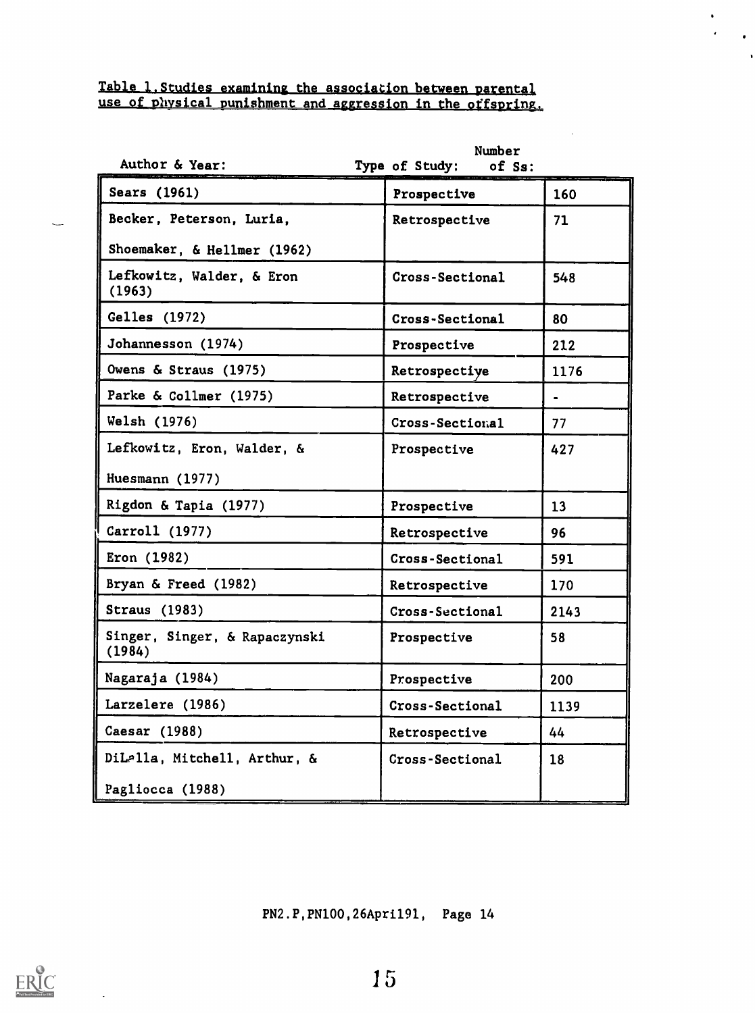# Table L.Studies examining the association between parental use of physical punishment and aggression in the offspring.

| Author & Year:                          | Number<br>Type of Study:<br>of Ss: |                |
|-----------------------------------------|------------------------------------|----------------|
| Sears (1961)                            | Prospective                        | 160            |
| Becker, Peterson, Luria,                | Retrospective                      | 71             |
| Shoemaker, & Hellmer (1962)             |                                    |                |
| Lefkowitz, Walder, & Eron<br>(1963)     | Cross-Sectional                    | 548            |
| Gelles (1972)                           | Cross-Sectional                    | 80             |
| Johannesson (1974)                      | Prospective                        | 212            |
| Owens & Straus (1975)                   | Retrospective                      | 1176           |
| Parke & Collmer (1975)                  | Retrospective                      | $\blacksquare$ |
| Welsh (1976)                            | Cross-Sectional                    | 77             |
| Lefkowitz, Eron, Walder, &              | Prospective                        | 427            |
| Huesmann (1977)                         |                                    |                |
| Rigdon & Tapia (1977)                   | Prospective                        | 13             |
| Carroll (1977)                          | Retrospective                      | 96             |
| Eron (1982)                             | Cross-Sectional                    | 591            |
| Bryan & Freed (1982)                    | Retrospective                      | 170            |
| <b>Straus</b> (1983)                    | Cross-Sectional                    | 2143           |
| Singer, Singer, & Rapaczynski<br>(1984) | Prospective                        | 58             |
| Nagaraja (1984)                         | Prospective                        | 200            |
| Larzelere (1986)                        | Cross-Sectional                    | 1139           |
| Caesar (1988)                           | Retrospective                      | 44             |
| DiLalla, Mitchell, Arthur, &            | Cross-Sectional                    | 18             |
| Pagliocca (1988)                        |                                    |                |

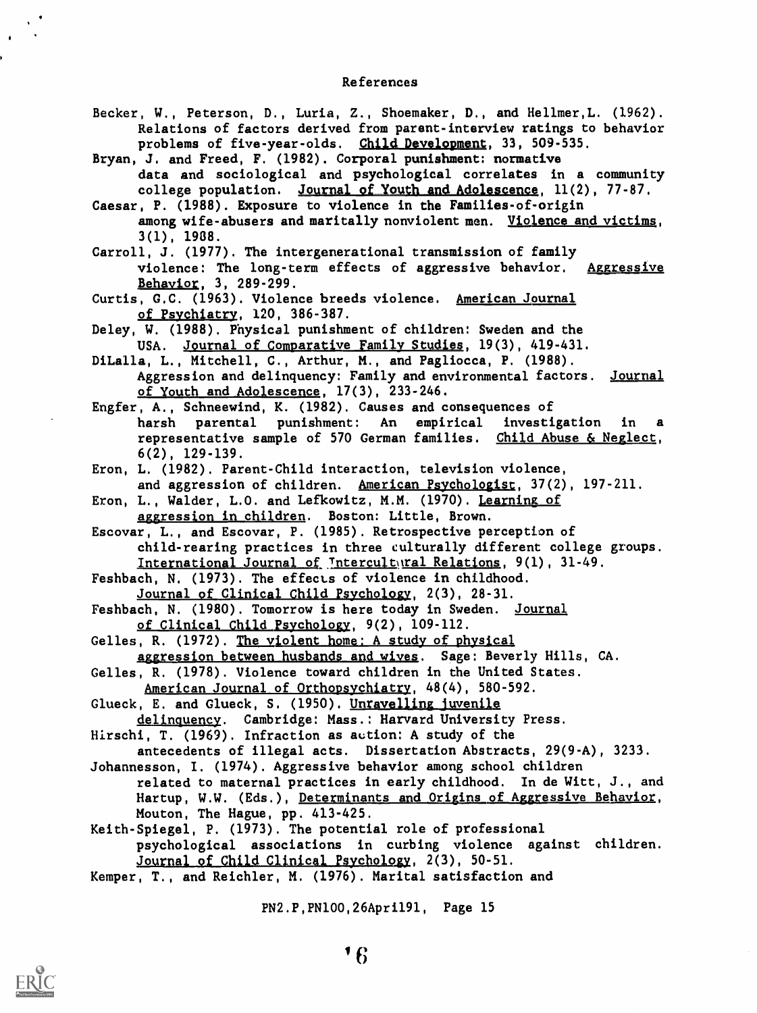#### References

Becker, W., Peterson, D., Luria, Z., Shoemaker, D., and Hellmer,L. (1962). Relations of factors derived from parent-interview ratings to behavior problems of five-year-olds. Child Development, 33, 509-535.

Bryan, J. and Freed, F. (1982). Corporal punishment: normative data and sociological and psychological correlates in a community college population. Journal of Youth and Adolescence, 11(2), 77-87.

Caesar, P. (1988). Exposure to violence in the Families-of-origin among wife-abusers and maritally nonviolent men. Violence and victims, 3(1), 1938.

Carroll, J. (1977). The intergenerational transmission of family violence: The long-term effects of aggressive behavior. Aggressive Behavior, 3, 289-299.

Curtis, G.C. (1963). Violence breeds violence. American Journal of Psychtatrv, 120, 386-387.

Deley, W. (1988). Physical punishment of children: Sweden and the USA. Journal of Comparative Family Studies, 19(3), 419-431.

DiLalla, L., Mitchell, C., Arthur, M., and Pagliocca, P. (1988). Aggression and delinquency: Family and environmental factors. Journal of Youth and Adolescence, 17(3), 233-246.

Engfer, A., Schneewind, K. (1982). Causes and consequences of harsh parental punishment: An empirical investigation in representative sample of 570 German families. Child Abuse & Neglect, 6(2), 129-139.

Eron, L. (1982). Parent-Child interaction, television violence, and aggression of children. American Psychologist, 37(2), 197-211.

Eron, L., Walder, L.O. and Lefkowitz, M.M. (1970). Learning of

aggression in children. Boston: Little, Brown.

Escovar, L., and Escovar, P. (1985). Retrospective perception of child-rearing practices in three culturally different college groups. International Journal of Intercultqual Relations, 9(1), 31-49.

Feshbach, N. (1973). The effects of violence in childhood.

Journal of Clinical Child Psychology, 2(3), 28-31.

Feshbach, N. (1980). Tomorrow is here today in Sweden. Journal of Clinical Child Psychology, 9(2), 109-112.

Gelles, R. (1972). The violent home: A study of physical aggression between husbands and wives. Sage: Beverly Hills, CA.

Gelles, R. (1978). Violence toward children in the United States. American Journal of Orthopsychiatry, 48(4), 580-592.

Glueck, E. and Glueck, S. (1950). Unravelling juvenile delinquency. Cambridge: Mass.: Harvard University Press.

Hirschi, T. (1969). Infraction as aution: A study of the

antecedents of illegal acts. Dissertation Abstracts, 29(9-A), 3233. Johannesson, I. (1974). Aggressive behavior among school children

related to maternal practices in early childhood. In de Witt, J., and Hartup, W.W. (Eds.), Determinants and Origins of Aggressive Behavior, Mouton, The Hague, pp. 413-425.

Keith-Spiegel, P. (1973). The potential role of professional psychological associations in curbing violence against children. Journal of Child Clinical Psychology, 2(3), 50-51.

Kemper, T., and Reichler, M. (1976). Marital satisfaction and

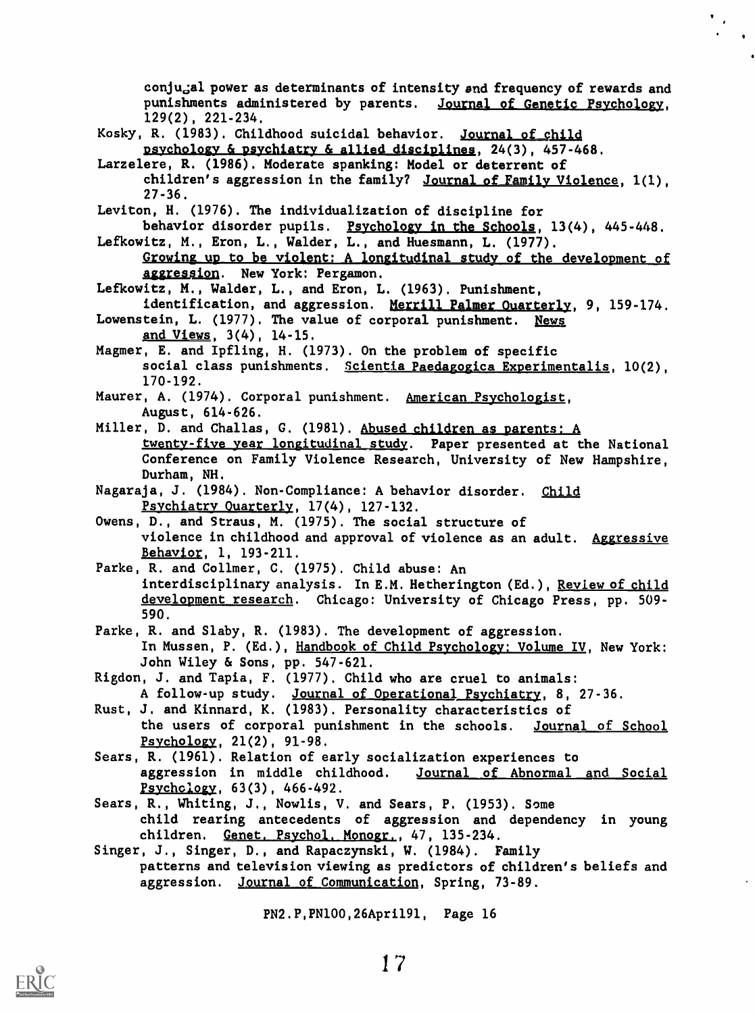conju<sub>d</sub>al power as determinants of intensity and frequency of rewards and punishments administered by parents. Journal of Genetic Psychology, 129(2), 221-234.

 $\ddot{\phantom{0}}$ 

Kosky, R. (1983). Childhood suicidal behavior. Journal of child psychology & psychiatry & allied disciplines, 24(3), 457-468.

- Larzelere, R. (1986). Moderate spanking: Model or deterrent of children's aggression in the family? Journal of Family Violence, 1(1), 27-36.
- Leviton, H. (1976). The individualization of discipline for

behavior disorder pupils. Psychology in the Schools, 13(4), 445-448. Lefkowitz, M., Eron, L., Welder, L., and Huesmann, L. (1977).

Growing up to be violent: A longitudinal study of the development of aggression. New York: Pergamon.

Lefkowitz, M., Welder, L., and Eron, L. (1963). Punishment,

identification, and aggression. Merrill Palmer Ouarterly, 9, 159-174.

- Lowenstein, L. (1977). The value of corporal punishment. News and Views, 3(4), 14-15.
- Magmer, E. and Ipfling, H. (1973). On the problem of specific social class punishments. Scientia Paedagogica Experimentalis, 10(2), 170-192.
- Maurer, A. (1974). Corporal punishment. American Psychologist, August, 614-626.
- Miller, D. and Challas, G. (1981). Abused children as parents: A twenty-five year longitudinal study. Paper presented at the National Conference on Family Violence Research, University of New Hampshire, Durham, NH.
- Nagaraja, J. (1984). Non-Compliance: A behavior disorder. Child Psychiatry Quarterly, 17(4), 127-132.
- Owens, D., and Straus, M. (1975). The social structure of violence in childhood and approval of violence as an adult. Aggressive Behavior, 1, 193-211.
- Parke, R. and Collmer, C. (1975). Child abuse: An interdisciplinary analysis. In E.M. Hetherington (Ed.), Review of child development research. Chicago: University of Chicago Press, pp. 509-590.
- Parke, R. and Slaby, R. (1983). The development of aggression. In Mussen, P. (Ed.), Handbook of Child Psychology: Volume IV, New York: John Wiley & Sons, pp. 547-621.
- Rigdon, J. and Tapia, F. (1977). Child who are cruel to animals: A follow-up study. Journal of Operational Psychiatry, 8, 27-36.
- Rust, J. and Kinnard, K. (1983). Personality characteristics of the users of corporal punishment in the schools. Journal of School Psychology, 21(2), 91-98.
- Sears, R. (1961). Relation of early socialization experiences to aggression in middle childhood. Journal of Abnormal and Social Psychclogy, 63(3), 466-492.
- Sears, R., Whiting, J., Nowlis, V. and Sears, P. (1953). Some child rearing antecedents of aggression and dependency in young children. Genet. Psychol, Monogr., 47, 135-234.
- Singer, J., Singer, D., and Rapaczynski, W. (1984). Family patterns and television viewing as predictors of children's beliefs and aggression. Journal of Communication, Spring, 73-89.